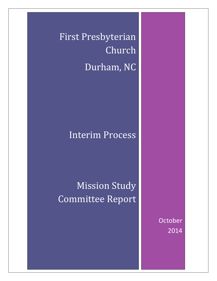First Presbyterian Church Durham, NC

# Interim Process

Mission Study Committee Report

> **October** 2014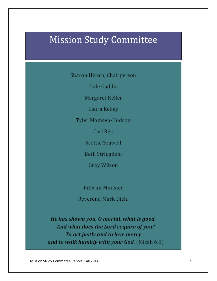# Mission Study Committee

Sharon Hirsch, Chairperson

Dale Gaddis

Margaret Keller

Laura Kelley

Tyler Momsen-Hudson

**Carl Rist** 

**Scottie Seawell** 

**Beth Stringfield** 

Gray Wilson

Interim Minister

Reverend Mark Diehl

He has shown you, O mortal, what is good. And what does the Lord require of you? To act justly and to love mercy and to walk humbly with your God. (Micah 6:8)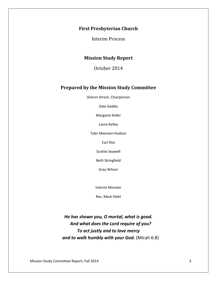## **First Presbyterian Church**

Interim Process

## **Mission Study Report**

October 2014

### **Prepared by the Mission Study Committee**

Sharon Hirsch, Chairperson

Dale Gaddis

Margaret Keller

Laura Kelley

Tyler Momsen-Hudson

Carl Rist

Scottie Seawell

Beth Stringfield

Gray Wilson

Interim Minister

Rev. Mark Diehl

*He has shown you, O mortal, what is good. And what does the Lord require of you? To act justly and to love mercy and to walk humbly with your God.* (Micah 6:8)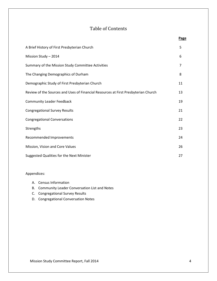## Table of Contents

|                                                                                    | Page           |
|------------------------------------------------------------------------------------|----------------|
| A Brief History of First Presbyterian Church                                       | 5              |
| Mission Study - 2014                                                               | 6              |
| Summary of the Mission Study Committee Activities                                  | $\overline{7}$ |
| The Changing Demographics of Durham                                                | 8              |
| Demographic Study of First Presbyterian Church                                     | 11             |
| Review of the Sources and Uses of Financial Resources at First Presbyterian Church | 13             |
| <b>Community Leader Feedback</b>                                                   | 19             |
| <b>Congregational Survey Results</b>                                               | 21             |
| <b>Congregational Conversations</b>                                                | 22             |
| Strengths                                                                          | 23             |
| Recommended Improvements                                                           | 24             |
| Mission, Vision and Core Values                                                    | 26             |
| Suggested Qualities for the Next Minister                                          | 27             |

#### Appendices:

- A. Census Information
- B. Community Leader Conversation List and Notes
- C. Congregational Survey Results
- D. Congregational Conversation Notes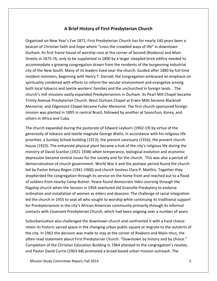## **A Brief History of First Presbyterian Church**

Organized on New Year's Eve 1871, First Presbyterian Church has for nearly 140 years been a beacon of Christian faith and hope where "cross the crowded ways of life" in downtown Durham. Its first frame house of worship rose at the corner of Second (Roxboro) and Main Streets in 1875-76, only to be supplanted in 1890 by a larger steepled brick edifice needed to accommodate a growing congregation drawn from the residents of the burgeoning industrial city of the New South. Many of its leaders lived near the church. Guided after 1880 by full-time resident ministers, beginning with Henry T. Darnall, the congregation embraced an emphasis on spirituality combined with efforts to reform the secular environment and evangelize among both local tobacco and textile workers' families and the unchurched in foreign lands. . The church's mill missions vastly expanded Presbyterianism in Durham. Its Pearl Mill Chapel became Trinity Avenue Presbyterian Church. West Durham Chapel at Erwin Mills became Blacknall Memorial, and Edgemont Chapel became Fuller Memorial. The first church-sponsored foreign mission was planted in 1895 in central Brazil, followed by another at Soonchun, Korea, and others in Africa and Cuba.

The church expanded during the pastorate of Edward Leyburn (1902-19) by virtue of the generosity of tobacco and textile magnate George Watts, in accordance with his religious life priorities: a Sunday School building (1913); the present sanctuary (1916); the present church house (1923). The enhanced physical plant became a hub of the city's religious life during the ministry of David Scanlon (1921-1938) when temperance, biological evolution and economic depression became central issues for the society and for the church. This was also a period of democratization of church government. World War II and the postwar period found the church led by Pastor Kelsey Regen (1941-1960) and church hostess Clara P. Matthis. Together they shepherded the congregation through its service on the home front and reached out to a flood of soldiers from nearby Camp Butner. Peace found democratic tides coursing through the flagship church when the Session in 1954 overtured old Granville Presbytery to endorse ordination and installation of women as elders and deacons. The challenge of racial integration led the church in 1955 to seat all who sought to worship while continuing its traditional support for Presbyterianism in the city's African-American community primarily through its informal contacts with Covenant Presbyterian Church, which had been ongoing over a number of years.

Suburbanization also challenged the downtown church and confronted it with a hard choice: retain its historic sacred space in the changing urban public square or migrate to the outskirts of the city. In 1961 the decision was made to stay at the corner of Roxboro and Main–thus, the often-read statement about First Presbyterian Church: "Downtown by history and by choice." Completion of the Christian Education Building in 1964 attested to the congregation's resolve, and Pastor David Currie (1963-68) promoted a broad-based urban mission outreach. The

Mission Study Committee Report, Fall 2014 **5** Study 2014 **5**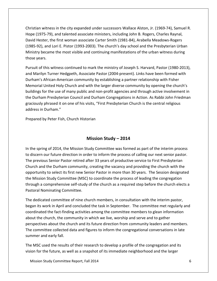Christian witness in the city expanded under successors Wallace Alston, Jr. (1969-74), Samuel R. Hope (1975-79), and talented associate ministers, including John B. Rogers, Charles Raynal, David Hester, the first woman associate Carter Smith (1981-84), Arabella Meadows-Rogers (1985-92), and Lori E. Pistor (1993-2003). The church's day school and the Presbyterian Urban Ministry became the most visible and continuing manifestations of the urban witness during those years.

Pursuit of this witness continued to mark the ministry of Joseph S. Harvard, Pastor (1980-2013), and Marilyn Turner Hedgpeth, Associate Pastor (2004-present). Links have been formed with Durham's African-American community by establishing a partner relationship with Fisher Memorial United Holy Church and with the larger diverse community by opening the church's buildings for the use of many public and non-profit agencies and through active involvement in the Durham Presbyterian Council and Durham Congregations in Action. As Rabbi John Friedman graciously phrased it on one of his visits, "First Presbyterian Church is the central religious address in Durham."

Prepared by Peter Fish, Church Historian

## **Mission Study – 2014**

In the spring of 2014, the Mission Study Committee was formed as part of the interim process to discern our future direction in order to inform the process of calling our next senior pastor. The previous Senior Pastor retired after 33 years of productive service to First Presbyterian Church and the Durham community, creating the vacancy and providing the church with the opportunity to select its first new Senior Pastor in more than 30 years. The Session designated the Mission Study Committee (MSC) to coordinate the process of leading the congregation through a comprehensive self-study of the church as a required step before the church elects a Pastoral Nominating Committee.

The dedicated committee of nine church members, in consultation with the interim pastor, began its work in April and concluded the task in September. The committee met regularly and coordinated the fact-finding activities among the committee members to glean information about the church, the community in which we live, worship and serve and to gather perspectives about the church and its future direction from community leaders and members. The committee collected data and figures to inform the congregational conversations in late summer and early fall.

The MSC used the results of their research to develop a profile of the congregation and its vision for the future, as well as a snapshot of its immediate neighborhood and the larger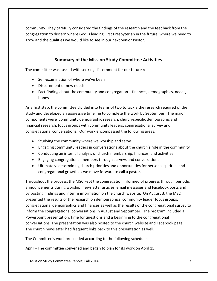community. They carefully considered the findings of the research and the feedback from the congregation to discern where God is leading First Presbyterian in the future, where we need to grow and the qualities we would like to see in our next Senior Pastor.

## **Summary of the Mission Study Committee Activities**

The committee was tasked with seeking discernment for our future role:

- Self-examination of where we've been
- Discernment of new needs
- Fact finding about the community and congregation finances, demographics, needs, hopes

As a first step, the committee divided into teams of two to tackle the research required of the study and developed an aggressive timeline to complete the work by September. The major components were community demographic research, church-specific demographic and financial research, focus groups with community leaders, congregational survey and congregational conversations. Our work encompassed the following areas:

- Studying the community where we worship and serve
- Engaging community leaders in conversations about the church's role in the community
- Conducting an internal analysis of church membership, finances, and activities
- Engaging congregational members through surveys and conversations
- Ultimately: determining church priorities and opportunities for personal spiritual and congregational growth as we move forward to call a pastor.

Throughout the process, the MSC kept the congregation informed of progress through periodic announcements during worship, newsletter articles, email messages and Facebook posts and by posting findings and interim information on the church website. On August 3, the MSC presented the results of the research on demographics, community leader focus groups, congregational demographics and finances as well as the results of the congregational survey to inform the congregational conversations in August and September. The program included a Powerpoint presentation, time for questions and a beginning to the congregational conversations. The presentation was also posted to the church website and Facebook page. The church newsletter had frequent links back to this presentation as well.

The Committee's work proceeded according to the following schedule:

April – The committee convened and began to plan for its work on April 15.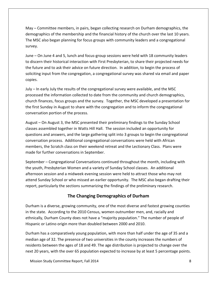May – Committee members, in pairs, began collecting research on Durham demographics, the demographics of the membership and the financial history of the church over the last 10 years. The MSC also began planning for focus groups with community leaders and a congregational survey.

June – On June 4 and 5, lunch and focus-group sessions were held with 18 community leaders to discern their historical interaction with First Presbyterian, to share their projected needs for the future and to ask their advice on future direction. In addition, to begin the process of soliciting input from the congregation, a congregational survey was shared via email and paper copies.

July – In early July the results of the congregational survey were available, and the MSC processed the information collected to date from the community and church demographics, church finances, focus groups and the survey. Together, the MSC developed a presentation for the first Sunday in August to share with the congregation and to inform the congregational conversation portion of the process.

August – On August 3, the MSC presented their preliminary findings to the Sunday School classes assembled together in Watts Hill Hall. The session included an opportunity for questions and answers, and the large gathering split into 3 groups to begin the congregational conversation process. Additional congregational conversations were held with African members, the Scratch class on their weekend retreat and the Lectionary Class. Plans were made for further conversations in September.

September – Congregational Conversations continued throughout the month, including with the youth, Presbyterian Women and a variety of Sunday School classes. An additional afternoon session and a midweek evening session were held to attract those who may not attend Sunday School or who missed an earlier opportunity. The MSC also began drafting their report, particularly the sections summarizing the findings of the preliminary research.

## **The Changing Demographics of Durham**

Durham is a diverse, growing community, one of the most diverse and fastest growing counties in the state. According to the 2010 Census, women outnumber men, and, racially and ethnically, Durham County does not have a "majority population." The number of people of Hispanic or Latino origin more than doubled between 2000 and 2010.

Durham has a comparatively young population, with more than half under the age of 35 and a median age of 32. The presence of two universities in the county increases the numbers of residents between the ages of 18 and 49. The age distribution is projected to change over the next 20 years, with the over 65 population expected to increase by at least 5 percentage points.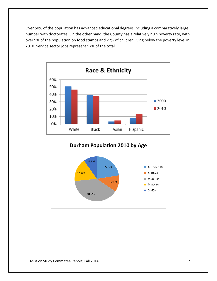Over 50% of the population has advanced educational degrees including a comparatively large number with doctorates. On the other hand, the County has a relatively high poverty rate, with over 9% of the population on food stamps and 22% of children living below the poverty level in 2010. Service sector jobs represent 57% of the total.



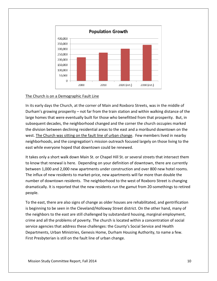

#### The Church is on a Demographic Fault Line

In its early days the Church, at the corner of Main and Roxboro Streets, was in the middle of Durham's growing prosperity – not far from the train station and within walking distance of the large homes that were eventually built for those who benefitted from that prosperity. But, in subsequent decades, the neighborhood changed and the corner the church occupies marked the division between declining residential areas to the east and a moribund downtown on the west. The Church was sitting on the fault line of urban change. Few members lived in nearby neighborhoods, and the congregation's mission outreach focused largely on those living to the east while everyone hoped that downtown could be renewed.

It takes only a short walk down Main St. or Chapel Hill St. or several streets that intersect them to know that renewal is here. Depending on your definition of downtown, there are currently between 1,000 and 2,000 new apartments under construction and over 800 new hotel rooms. The influx of new residents to market-price, new apartments will far more than double the number of downtown residents. The neighborhood to the west of Roxboro Street is changing dramatically. It is reported that the new residents run the gamut from 20-somethings to retired people.

To the east, there are also signs of change as older houses are rehabilitated, and gentrification is beginning to be seen in the Cleveland/Holloway Street district. On the other hand, many of the neighbors to the east are still challenged by substandard housing, marginal employment, crime and all the problems of poverty. The church is located within a concentration of social service agencies that address these challenges: the County's Social Service and Health Departments, Urban Ministries, Genesis Home, Durham Housing Authority, to name a few. First Presbyterian is still on the fault line of urban change.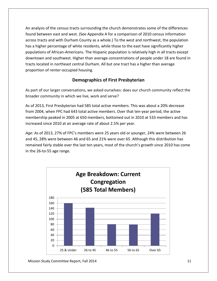An analysis of the census tracts surrounding the church demonstrates some of the differences found between east and west. (See Appendix A for a comparison of 2010 census information across tracts and with Durham County as a whole.) To the west and northwest, the population has a higher percentage of white residents, while those to the east have significantly higher populations of African-Americans. The Hispanic population is relatively high in all tracts except downtown and southwest. Higher than average concentrations of people under 18 are found in tracts located in northeast central Durham. All but one tract has a higher than average proportion of renter-occupied housing.

## **Demographics of First Presbyterian**

As part of our larger conversations, we asked ourselves: does our church community reflect the broader community in which we live, work and serve?

As of 2013, First Presbyterian had 585 total active members. This was about a 20% decrease from 2004, when FPC had 643 total active members. Over that ten-year period, the active membership peaked in 2005 at 650 members, bottomed out in 2010 at 533 members and has increased since 2010 at an average rate of about 2.5% per year.

*Age:* As of 2013, 27% of FPC's members were 25 years old or younger, 24% were between 26 and 45, 28% were between 46 and 65 and 21% were over 65. Although this distribution has remained fairly stable over the last ten years, most of the church's growth since 2010 has come in the 26-to-55 age range.



Mission Study Committee Report, Fall 2014 11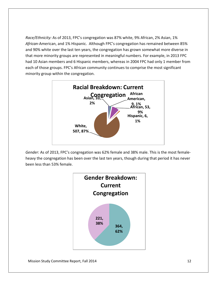*Race/Ethnicity:* As of 2013, FPC's congregation was 87% white, 9% African, 2% Asian, 1% *African*-American, and 1% Hispanic. Although FPC's congregation has remained between 85% and 90% white over the last ten years, the congregation has grown somewhat more diverse in that more minority groups are represented in meaningful numbers. For example, in 2013 FPC had 10 Asian members and 6 Hispanic members, whereas in 2004 FPC had only 1 member from each of those groups. FPC's African community continues to comprise the most significant minority group within the congregation.



*Gender:* As of 2013, FPC's congregation was 62% female and 38% male. This is the most femaleheavy the congregation has been over the last ten years, though during that period it has never been less than 53% female.

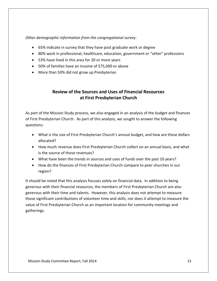*Other demographic information from the congregational survey:*

- 65% indicate in survey that they have post graduate work or degree
- 80% work in professional, healthcare, education, government or "other" professions
- 53% have lived in this area for 20 or more years
- 50% of families have an income of \$75,000 or above
- More than 50% did not grow up Presbyterian

## **Review of the Sources and Uses of Financial Resources at First Presbyterian Church**

As part of the Mission Study process, we also engaged in an analysis of the budget and finances of First Presbyterian Church. As part of this analysis, we sought to answer the following questions:

- What is the size of First Presbyterian Church's annual budget, and how are these dollars allocated?
- How much revenue does First Presbyterian Church collect on an annual basis, and what is the source of those revenues?
- What have been the trends in sources and uses of funds over the past 10 years?
- How do the finances of First Presbyterian Church compare to peer churches in our region?

It should be noted that this analysis focuses solely on financial data. In addition to being generous with their financial resources, the members of First Presbyterian Church are also generous with their time and talents. However, this analysis does not attempt to measure those significant contributions of volunteer time and skills, nor does it attempt to measure the value of First Presbyterian Church as an important location for community meetings and gatherings.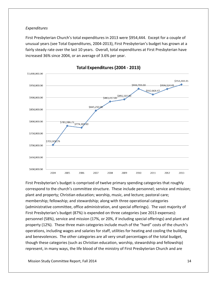#### *Expenditures*

First Presbyterian Church's total expenditures in 2013 were \$954,444. Except for a couple of unusual years (see Total Expenditures, 2004-2013), First Presbyterian's budget has grown at a fairly steady rate over the last 10 years. Overall, total expenditures at First Presbyterian have increased 36% since 2004, or an average of 3.6% per year.



Total Expenditures (2004 - 2013)

First Presbyterian's budget is comprised of twelve primary spending categories that roughly correspond to the church's committee structure. These include personnel; service and mission; plant and property; Christian education; worship, music, and lecture; pastoral care; membership; fellowship; and stewardship; along with three operational categories (administrative committee, office administration, and special offerings). The vast majority of First Presbyterian's budget (87%) is expended on three categories (see 2013 expenses): personnel (58%), service and mission (17%, or 20%, if including special offerings) and plant and property (12%). These three main categories include much of the "hard" costs of the church's operations, including wages and salaries for staff, utilities for heating and cooling the building and benevolences. The other categories are all very small percentages of the total budget, though these categories (such as Christian education, worship, stewardship and fellowship) represent, in many ways, the life blood of the ministry of First Presbyterian Church and are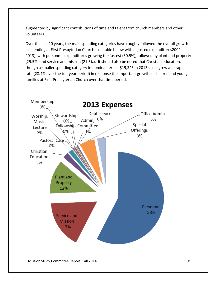augmented by significant contributions of time and talent from church members and other volunteers.

Over the last 10 years, the main spending categories have roughly followed the overall growth in spending at First Presbyterian Church (see table below with adjusted expenditures2004- 2013), with personnel expenditures growing the fastest (30.5%), followed by plant and property (29.5%) and service and mission (21.5%). It should also be noted that Christian education, though a smaller spending category in nominal terms (\$19,345 in 2013), also grew at a rapid rate (28.4% over the ten-year period) in response the important growth in children and young families at First Presbyterian Church over that time period.



Mission Study Committee Report, Fall 2014 15 15 16 17 18 18 19 18 19 18 19 18 19 18 19 18 19 19 19 19 19 19 1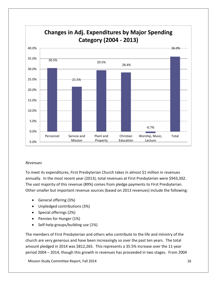

#### *Revenues*

To meet its expenditures, First Presbyterian Church takes in almost \$1 million in revenues annually. In the most recent year (2013), total revenues at First Presbyterian were \$943,302. The vast majority of this revenue (89%) comes from pledge payments to First Presbyterian. Other smaller but important revenue sources (based on 2013 revenues) include the following:

- General offering (3%)
- Unpledged contributions (3%)
- Special offerings (2%)
- Pennies for Hunger (1%)
- Self-help groups/building use (1%)

The members of First Presbyterian and others who contribute to the life and ministry of the church are very generous and have been increasingly so over the past ten years. The total amount pledged in 2014 was \$812,265. This represents a 35.5% increase over the 11-year period 2004 – 2014, though this growth in revenues has proceeded in two stages. From 2004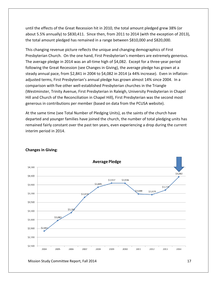until the effects of the Great Recession hit in 2010, the total amount pledged grew 38% (or about 5.5% annually) to \$830,411. Since then, from 2011 to 2014 (with the exception of 2013), the total amount pledged has remained in a range between \$810,000 and \$820,000.

This changing revenue picture reflects the unique and changing demographics of First Presbyterian Church. On the one hand, First Presbyterian's members are extremely generous. The average pledge in 2014 was an all-time high of \$4,082. Except for a three-year period following the Great Recession (see Changes in Giving), the average pledge has grown at a steady annual pace, from \$2,841 in 2004 to \$4,082 in 2014 (a 44% increase). Even in inflationadjusted terms, First Presbyterian's annual pledge has grown almost 14% since 2004. In a comparison with five other well-established Presbyterian churches in the Triangle (Westminster, Trinity Avenue, First Presbyterian in Raleigh, University Presbyterian in Chapel Hill and Church of the Reconciliation in Chapel Hill), First Presbyterian was the second most generous in contributions per member (based on data from the PCUSA website).

At the same time (see Total Number of Pledging Units), as the saints of the church have departed and younger families have joined the church, the number of total pledging units has remained fairly constant over the past ten years, even experiencing a drop during the current interim period in 2014.



#### **Changes in Giving**: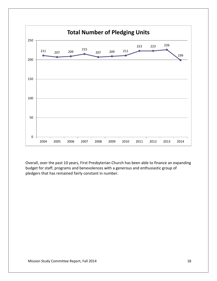

Overall, over the past 10 years, First Presbyterian Church has been able to finance an expanding budget for staff, programs and benevolences with a generous and enthusiastic group of pledgers that has remained fairly constant in number.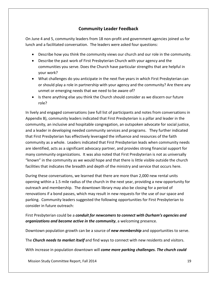## **Community Leader Feedback**

On June 4 and 5, community leaders from 18 non-profit and government agencies joined us for lunch and a facilitated conversation. The leaders were asked four questions:

- Describe how you think the community views our church and our role in the community.
- Describe the past work of First Presbyterian Church with your agency and the communities you serve. Does the Church have particular strengths that are helpful in your work?
- What challenges do you anticipate in the next five years in which First Presbyterian can or should play a role in partnership with your agency and the community? Are there any unmet or emerging needs that we need to be aware of?
- Is there anything else you think the Church should consider as we discern our future role?

In lively and engaged conversations (see full list of participants and notes from conversations in Appendix B), community leaders indicated that First Presbyterian is a pillar and leader in the community, an inclusive and hospitable congregation, an outspoken advocate for social justice, and a leader in developing needed community services and programs. They further indicated that First Presbyterian has effectively leveraged the influence and resources of the faith community as a whole. Leaders indicated that First Presbyterian leads when community needs are identified, acts as a significant advocacy partner, and provides strong financial support for many community organizations. It was also noted that First Presbyterian is not as universally "known" in the community as we would hope and that there is little visible outside the church facilities that indicates the breadth and depth of the ministry and service that occurs here.

During these conversations, we learned that there are more than 2,000 new rental units opening within a 1.5 mile radius of the church in the next year, providing a new opportunity for outreach and membership. The downtown library may also be closing for a period of renovations if a bond passes, which may result in new requests for the use of our space and parking. Community leaders suggested the following opportunities for First Presbyterian to consider in future outreach:

First Presbyterian could be a *conduit for newcomers to connect with Durham's agencies and organizations and become active in the community*, a welcoming presence.

Downtown population growth can be a source of *new membership* and opportunities to serve.

The *Church needs to market itself* and find ways to connect with new residents and visitors.

With increase in population downtown will *come more parking challenges. The church could*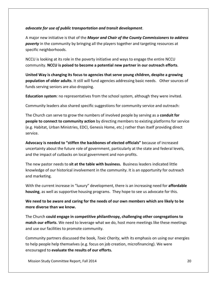#### *advocate for use of public transportation and transit development*.

A major new initiative is that of the *Mayor and Chair of the County Commissioners to address poverty* in the community by bringing all the players together and targeting resources at specific neighborhoods.

NCCU is looking at its role in the poverty initiative and ways to engage the entire NCCU community. **NCCU is poised to become a potential new partner in our outreach efforts**.

**United Way is changing its focus to agencies that serve young children, despite a growing population of older adults**. It still will fund agencies addressing basic needs. Other sources of funds serving seniors are also dropping.

**Education system**: no representatives from the school system, although they were invited.

Community leaders also shared specific suggestions for community service and outreach:

The Church can serve to grow the numbers of involved people by serving as a **conduit for people to connect to community action** by directing members to existing platforms for service (e.g. Habitat, Urban Ministries, EDCI, Genesis Home, etc.) rather than itself providing direct service.

**Advocacy is needed to "stiffen the backbones of elected officials"** because of increased uncertainty about the future role of government, particularly at the state and federal levels, and the impact of cutbacks on local government and non-profits.

The new pastor needs to **sit at the table with business.** Business leaders indicated little knowledge of our historical involvement in the community. It is an opportunity for outreach and marketing.

With the current increase in "luxury" development, there is an increasing need for **affordable housing**, as well as supportive housing programs. They hope to see us advocate for this.

**We need to be aware and caring for the needs of our own members which are likely to be more diverse than we know.**

The Church **could engage in competitive philanthropy, challenging other congregations to match our efforts**. We need to leverage what we do, host more meetings like these meetings and use our facilities to promote community.

Community partners discussed the book, *Toxic Charity*, with its emphasis on using our energies to help people help themselves (e.g. focus on job creation, microfinancing). We were encouraged to **evaluate the results of our efforts.**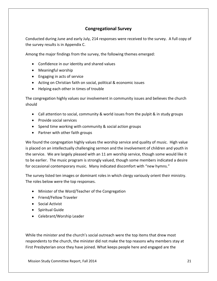## **Congregational Survey**

Conducted during June and early July, 214 responses were received to the survey. A full copy of the survey results is in Appendix C.

Among the major findings from the survey, the following themes emerged:

- Confidence in our identity and shared values
- Meaningful worship
- Engaging in acts of service
- Acting on Christian faith on social, political & economic issues
- Helping each other in times of trouble

The congregation highly values our involvement in community issues and believes the church should

- Call attention to social, community & world issues from the pulpit & in study groups
- Provide social services
- Spend time working with community & social action groups
- Partner with other faith groups

We found the congregation highly values the worship service and quality of music. High value is placed on an intellectually challenging sermon and the involvement of children and youth in the service. We are largely pleased with an 11 am worship service, though some would like it to be earlier. The music program is strongly valued, though some members indicated a desire for occasional contemporary music. Many indicated discomfort with "new hymns."

The survey listed ten images or dominant roles in which clergy variously orient their ministry. The roles below were the top responses.

- Minister of the Word/Teacher of the Congregation
- Friend/Fellow Traveler
- Social Activist
- Spiritual Guide
- Celebrant/Worship Leader

While the minister and the church's social outreach were the top items that drew most respondents to the church, the minister did not make the top reasons why members stay at First Presbyterian once they have joined. What keeps people here and engaged are the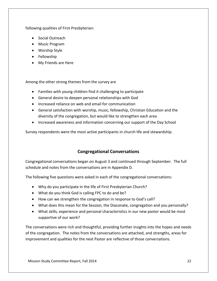following qualities of First Presbyterian:

- Social Outreach
- Music Program
- Worship Style
- Fellowship
- My Friends are Here

Among the other strong themes from the survey are

- Families with young children find it challenging to participate
- General desire to deepen personal relationships with God
- Increased reliance on web and email for communication
- General satisfaction with worship, music, fellowship, Christian Education and the diversity of the congregation, but would like to strengthen each area
- Increased awareness and information concerning our support of the Day School

Survey respondents were the most active participants in church life and stewardship.

## **Congregational Conversations**

Congregational conversations began on August 3 and continued through September. The full schedule and notes from the conversations are in Appendix D.

The following five questions were asked in each of the congregational conversations:

- Why do you participate in the life of First Presbyterian Church?
- What do you think God is calling FPC to do and be?
- How can we strengthen the congregation in response to God's call?
- What does this mean for the Session, the Diaconate, congregation and you personally?
- What skills, experience and personal characteristics in our new pastor would be most supportive of our work?

The conversations were rich and thoughtful, providing further insights into the hopes and needs of the congregation. The notes from the conversations are attached, and strengths, areas for improvement and qualities for the next Pastor are reflective of those conversations.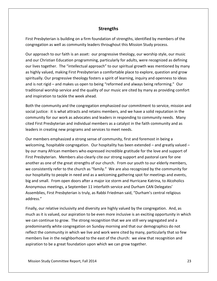#### **Strengths**

First Presbyterian is building on a firm foundation of strengths, identified by members of the congregation as well as community leaders throughout this Mission Study process.

Our approach to our faith is an asset: our progressive theology, our worship style, our music and our Christian Education programming, particularly for adults, were recognized as defining our lives together. The "intellectual approach" to our spiritual growth was mentioned by many as highly valued, making First Presbyterian a comfortable place to explore, question and grow spiritually. Our progressive theology fosters a spirit of learning, inquiry and openness to ideas and is not rigid – and makes us open to being "reformed and always being reforming." Our traditional worship service and the quality of our music are cited by many as providing comfort and inspiration to tackle the week ahead.

Both the community and the congregation emphasized our commitment to service, mission and social justice: it is what attracts and retains members, and we have a solid reputation in the community for our work as advocates and leaders in responding to community needs. Many cited First Presbyterian and individual members as a catalyst in the faith community and as leaders in creating new programs and services to meet needs.

Our members emphasized a strong sense of community, first and foremost in being a welcoming, hospitable congregation. Our hospitality has been extended – and greatly valued – by our many African members who expressed incredible gratitude for the love and support of First Presbyterian. Members also clearly cite our strong support and pastoral care for one another as one of the great strengths of our church. From our youth to our elderly members, we consistently refer to the church as "family." We are also recognized by the community for our hospitality to people in need and as a welcoming gathering spot for meetings and events, big and small. From open doors after a major ice storm and Hurricane Katrina, to Alcoholics Anonymous meetings, a September 11 interfaith service and Durham CAN Delegates' Assemblies, First Presbyterian is truly, as Rabbi Friedman said, "Durham's central religious address."

Finally, our relative inclusivity and diversity are highly valued by the congregation. And, as much as it is valued, our aspiration to be even more inclusive is an exciting opportunity in which we can continue to grow. The strong recognition that we are still very segregated and a predominantly white congregation on Sunday morning and that our demographics do not reflect the community in which we live and work were cited by many, particularly that so few members live in the neighborhood to the east of the church: we view that recognition and aspiration to be a great foundation upon which we can grow together.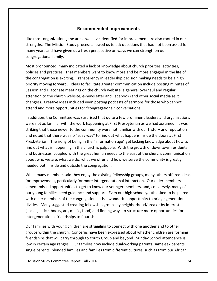#### **Recommended Improvements**

Like most organizations, the areas we have identified for improvement are also rooted in our strengths. The Mission Study process allowed us to ask questions that had not been asked for many years and have given us a fresh perspective on ways we can strengthen our congregational family.

Most pronounced, many indicated a lack of knowledge about church priorities, activities, policies and practices. That members want to know more and be more engaged in the life of the congregation is exciting. Transparency in leadership decision making needs to be a high priority moving forward. Ideas to facilitate greater communication include posting minutes of Session and Diaconate meetings on the church website, a general overhaul and regular attention to the church website, e-newsletter and Facebook (and other social media as it changes). Creative ideas included even posting podcasts of sermons for those who cannot attend and more opportunities for "congregational" conversations.

In addition, the Committee was surprised that quite a few prominent leaders and organizations were not as familiar with the work happening at First Presbyterian as we had assumed. It was striking that those newer to the community were not familiar with our history and reputation and noted that there was no "easy way" to find out what happens inside the doors at First Presbyterian. The irony of being in the "information age" yet lacking knowledge about how to find out what is happening in the church is palpable. With the growth of downtown residents and businesses, coupled with the great human needs to the east of the church, communication about who we are, what we do, what we offer and how we serve the community is greatly needed both inside and outside the congregation.

While many members said they enjoy the existing fellowship groups, many others offered ideas for improvement, particularly for more intergenerational interaction. Our older members lament missed opportunities to get to know our younger members, and, conversely, many of our young families need guidance and support. Even our high school youth asked to be paired with older members of the congregation. It is a wonderful opportunity to bridge generational divides. Many suggested creating fellowship groups by neighborhood/area or by interest (social justice, books, art, music, food) and finding ways to structure more opportunities for intergenerational friendships to flourish.

Our families with young children are struggling to connect with one another and to other groups within the church. Concerns have been expressed about whether children are forming friendships that will carry through to Youth Group and beyond. Sunday School attendance is low in certain age ranges. Our families now include dual-working parents, same-sex parents, single parents, blended families and families from different cultures, such as from our African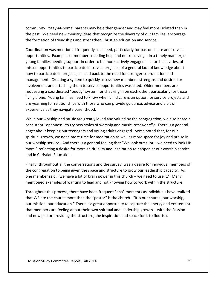community. 'Stay-at-home' parents may be either gender and may feel more isolated than in the past. We need new ministry ideas that recognize the diversity of our families, encourage the formation of friendships and strengthen Christian education and service.

Coordination was mentioned frequently as a need, particularly for pastoral care and service opportunities. Examples of members needing help and not receiving it in a timely manner, of young families needing support in order to be more actively engaged in church activities, of missed opportunities to participate in service projects, of a general lack of knowledge about how to participate in projects, all lead back to the need for stronger coordination and management. Creating a system to quickly assess new members' strengths and desires for involvement and attaching them to service opportunities was cited. Older members are requesting a coordinated "buddy" system for checking in on each other, particularly for those living alone. Young families need to know when child care is an option for service projects and are yearning for relationships with those who can provide guidance, advice and a bit of experience as they navigate parenthood.

While our worship and music are greatly loved and valued by the congregation, we also heard a consistent "openness" to try new styles of worship and music, *occasionally*. There is a general angst about keeping our teenagers and young adults engaged. Some noted that, for our spiritual growth, we need more time for meditation as well as more space for joy and praise in our worship service. And there is a general feeling that "We look out a lot – we need to look UP more," reflecting a desire for more spirituality and inspiration to happen at our worship service and in Christian Education.

Finally, throughout all the conversations and the survey, was a desire for individual members of the congregation to being given the space and structure to grow our leadership capacity. As one member said, "we have a lot of brain power in this church – we need to use it." Many mentioned examples of wanting to lead and not knowing how to work within the structure.

Throughout this process, there have been frequent "aha" moments as individuals have realized that WE are the church more than the "pastor" is the church. "It is our church, our worship, our mission, our education." There is a great opportunity to capture the energy and excitement that members are feeling about their own spiritual and leadership growth – with the Session and new pastor providing the structure, the inspiration and space for it to flourish.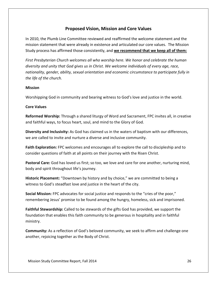## **Proposed Vision, Mission and Core Values**

In 2010, the Plumb Line Committee reviewed and reaffirmed the welcome statement and the mission statement that were already in existence and articulated our core values. The Mission Study process has affirmed those consistently, and **we recommend that we keep all of them:**

*First Presbyterian Church welcomes all who worship here. We honor and celebrate the human diversity and unity that God gives us in Christ. We welcome individuals of every age, race, nationality, gender, ability, sexual orientation and economic circumstance to participate fully in the life of the church.*

#### **Mission**

Worshipping God in community and bearing witness to God's love and justice in the world.

#### **Core Values**

**Reformed Worship:** Through a shared liturgy of Word and Sacrament, FPC invites all, in creative and faithful ways, to focus heart, soul, and mind to the Glory of God.

**Diversity and Inclusivity:** As God has claimed us in the waters of baptism with our differences, we are called to invite and nurture a diverse and inclusive community.

**Faith Exploration:** FPC welcomes and encourages all to explore the call to discipleship and to consider questions of faith at all points on their journey with the Risen Christ.

**Pastoral Care:** God has loved us first; so too, we love and care for one another, nurturing mind, body and spirit throughout life's journey.

**Historic Placement:** "Downtown by history and by choice," we are committed to being a witness to God's steadfast love and justice in the heart of the city.

**Social Mission:** FPC advocates for social justice and responds to the "cries of the poor," remembering Jesus' promise to be found among the hungry, homeless, sick and imprisoned.

**Faithful Stewardship:** Called to be stewards of the gifts God has provided, we support the foundation that enables this faith community to be generous in hospitality and in faithful ministry.

**Community:** As a reflection of God's beloved community, we seek to affirm and challenge one another, rejoicing together as the Body of Christ.